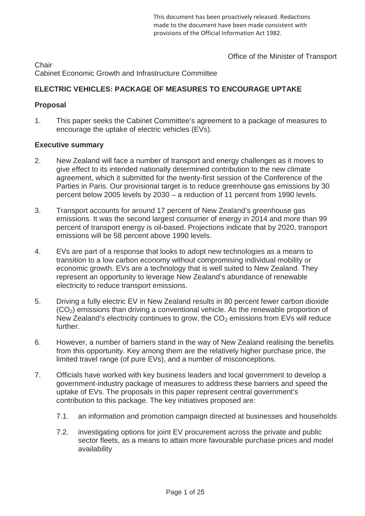This document has been proactively released. Redactions made to the document have been made consistent with nrovisions of the Official Information Act 1982.

Office of the Minister of Transport

**Chair** Cabinet Economic Growth and Infrastructure Committee

# **ELECTRIC VEHICLES: PACKAGE OF MEASURES TO ENCOURAGE UPTAKE**

# **Proposal**

1. This paper seeks the Cabinet Committee's agreement to a package of measures to encourage the uptake of electric vehicles (EVs).

# **Executive summary**

- 2. New Zealand will face a number of transport and energy challenges as it moves to give effect to its intended nationally determined contribution to the new climate agreement, which it submitted for the twenty-first session of the Conference of the Parties in Paris. Our provisional target is to reduce greenhouse gas emissions by 30 percent below 2005 levels by 2030 – a reduction of 11 percent from 1990 levels.
- 3. Transport accounts for around 17 percent of New Zealand's greenhouse gas emissions. It was the second largest consumer of energy in 2014 and more than 99 percent of transport energy is oil-based. Projections indicate that by 2020, transport emissions will be 58 percent above 1990 levels.
- 4. EVs are part of a response that looks to adopt new technologies as a means to transition to a low carbon economy without compromising individual mobility or economic growth. EVs are a technology that is well suited to New Zealand. They represent an opportunity to leverage New Zealand's abundance of renewable electricity to reduce transport emissions.
- 5. Driving a fully electric EV in New Zealand results in 80 percent fewer carbon dioxide  $(CO<sub>2</sub>)$  emissions than driving a conventional vehicle. As the renewable proportion of New Zealand's electricity continues to grow, the  $CO<sub>2</sub>$  emissions from EVs will reduce further.
- 6. However, a number of barriers stand in the way of New Zealand realising the benefits from this opportunity. Key among them are the relatively higher purchase price, the limited travel range (of pure EVs), and a number of misconceptions.
- 7. Officials have worked with key business leaders and local government to develop a government-industry package of measures to address these barriers and speed the uptake of EVs. The proposals in this paper represent central government's contribution to this package. The key initiatives proposed are:
	- 7.1. an information and promotion campaign directed at businesses and households
	- 7.2. investigating options for joint EV procurement across the private and public sector fleets, as a means to attain more favourable purchase prices and model availability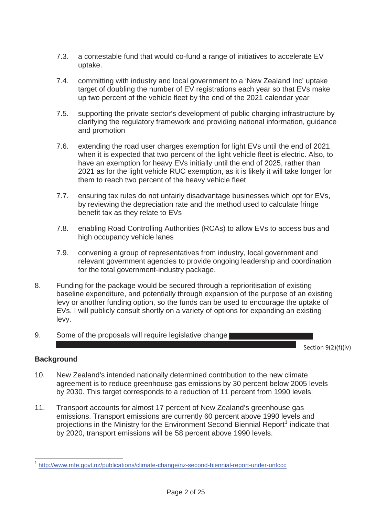- 7.3. a contestable fund that would co-fund a range of initiatives to accelerate EV uptake.
- 7.4. committing with industry and local government to a 'New Zealand Inc' uptake target of doubling the number of EV registrations each year so that EVs make up two percent of the vehicle fleet by the end of the 2021 calendar year
- 7.5. supporting the private sector's development of public charging infrastructure by clarifying the regulatory framework and providing national information, guidance and promotion
- 7.6. extending the road user charges exemption for light EVs until the end of 2021 when it is expected that two percent of the light vehicle fleet is electric. Also, to have an exemption for heavy EVs initially until the end of 2025, rather than 2021 as for the light vehicle RUC exemption, as it is likely it will take longer for them to reach two percent of the heavy vehicle fleet
- 7.7. ensuring tax rules do not unfairly disadvantage businesses which opt for EVs, by reviewing the depreciation rate and the method used to calculate fringe benefit tax as they relate to EVs
- 7.8. enabling Road Controlling Authorities (RCAs) to allow EVs to access bus and high occupancy vehicle lanes
- 7.9. convening a group of representatives from industry, local government and relevant government agencies to provide ongoing leadership and coordination for the total government-industry package.
- 8. Funding for the package would be secured through a reprioritisation of existing baseline expenditure, and potentially through expansion of the purpose of an existing levy or another funding option, so the funds can be used to encourage the uptake of EVs. I will publicly consult shortly on a variety of options for expanding an existing levy.
- 9. Some of the proposals will require legislative change

Section 9(2)(f)(iv)

# **Background**

- 10. New Zealand's intended nationally determined contribution to the new climate agreement is to reduce greenhouse gas emissions by 30 percent below 2005 levels by 2030. This target corresponds to a reduction of 11 percent from 1990 levels.
- 11. Transport accounts for almost 17 percent of New Zealand's greenhouse gas emissions. Transport emissions are currently 60 percent above 1990 levels and projections in the Ministry for the Environment Second Biennial Report<sup>1</sup> indicate that by 2020, transport emissions will be 58 percent above 1990 levels.

<sup>&</sup>lt;sup>1</sup> http://www.mfe.govt.nz/publications/climate-change/nz-second-biennial-report-under-unfccc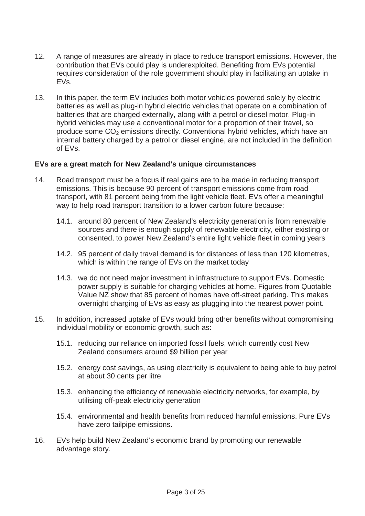- 12. A range of measures are already in place to reduce transport emissions. However, the contribution that EVs could play is underexploited. Benefiting from EVs potential requires consideration of the role government should play in facilitating an uptake in EVs.
- 13. In this paper, the term EV includes both motor vehicles powered solely by electric batteries as well as plug-in hybrid electric vehicles that operate on a combination of batteries that are charged externally, along with a petrol or diesel motor. Plug-in hybrid vehicles may use a conventional motor for a proportion of their travel, so produce some  $CO<sub>2</sub>$  emissions directly. Conventional hybrid vehicles, which have an internal battery charged by a petrol or diesel engine, are not included in the definition of EVs.

# **EVs are a great match for New Zealand's unique circumstances**

- 14. Road transport must be a focus if real gains are to be made in reducing transport emissions. This is because 90 percent of transport emissions come from road transport, with 81 percent being from the light vehicle fleet. EVs offer a meaningful way to help road transport transition to a lower carbon future because:
	- 14.1. around 80 percent of New Zealand's electricity generation is from renewable sources and there is enough supply of renewable electricity, either existing or consented, to power New Zealand's entire light vehicle fleet in coming years
	- 14.2. 95 percent of daily travel demand is for distances of less than 120 kilometres, which is within the range of EVs on the market today
	- 14.3. we do not need major investment in infrastructure to support EVs. Domestic power supply is suitable for charging vehicles at home. Figures from Quotable Value NZ show that 85 percent of homes have off-street parking. This makes overnight charging of EVs as easy as plugging into the nearest power point.
- 15. In addition, increased uptake of EVs would bring other benefits without compromising individual mobility or economic growth, such as:
	- 15.1. reducing our reliance on imported fossil fuels, which currently cost New Zealand consumers around \$9 billion per year
	- 15.2. energy cost savings, as using electricity is equivalent to being able to buy petrol at about 30 cents per litre
	- 15.3. enhancing the efficiency of renewable electricity networks, for example, by utilising off-peak electricity generation
	- 15.4. environmental and health benefits from reduced harmful emissions. Pure EVs have zero tailpipe emissions.
- 16. EVs help build New Zealand's economic brand by promoting our renewable advantage story.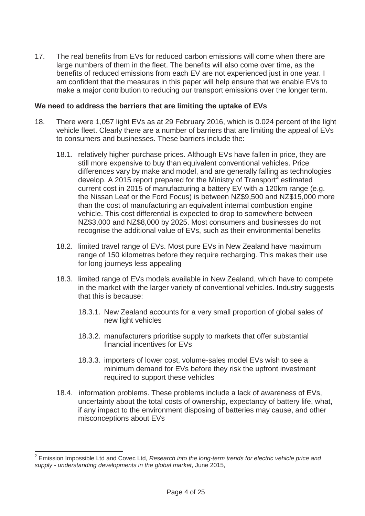17. The real benefits from EVs for reduced carbon emissions will come when there are large numbers of them in the fleet. The benefits will also come over time, as the benefits of reduced emissions from each EV are not experienced just in one year. I am confident that the measures in this paper will help ensure that we enable EVs to make a major contribution to reducing our transport emissions over the longer term.

# **We need to address the barriers that are limiting the uptake of EVs**

- 18. There were 1,057 light EVs as at 29 February 2016, which is 0.024 percent of the light vehicle fleet. Clearly there are a number of barriers that are limiting the appeal of EVs to consumers and businesses. These barriers include the:
	- 18.1. relatively higher purchase prices. Although EVs have fallen in price, they are still more expensive to buy than equivalent conventional vehicles. Price differences vary by make and model, and are generally falling as technologies develop. A 2015 report prepared for the Ministry of Transport<sup>2</sup> estimated current cost in 2015 of manufacturing a battery EV with a 120km range (e.g. the Nissan Leaf or the Ford Focus) is between NZ\$9,500 and NZ\$15,000 more than the cost of manufacturing an equivalent internal combustion engine vehicle. This cost differential is expected to drop to somewhere between NZ\$3,000 and NZ\$8,000 by 2025. Most consumers and businesses do not recognise the additional value of EVs, such as their environmental benefits
	- 18.2. limited travel range of EVs. Most pure EVs in New Zealand have maximum range of 150 kilometres before they require recharging. This makes their use for long journeys less appealing
	- 18.3. limited range of EVs models available in New Zealand, which have to compete in the market with the larger variety of conventional vehicles. Industry suggests that this is because:
		- 18.3.1. New Zealand accounts for a very small proportion of global sales of new light vehicles
		- 18.3.2. manufacturers prioritise supply to markets that offer substantial financial incentives for EVs
		- 18.3.3. importers of lower cost, volume-sales model EVs wish to see a minimum demand for EVs before they risk the upfront investment required to support these vehicles
	- 18.4. information problems. These problems include a lack of awareness of EVs, uncertainty about the total costs of ownership, expectancy of battery life, what, if any impact to the environment disposing of batteries may cause, and other misconceptions about EVs

<sup>2</sup> Emission Impossible Ltd and Covec Ltd, *Research into the long-term trends for electric vehicle price and supply - understanding developments in the global market*, June 2015,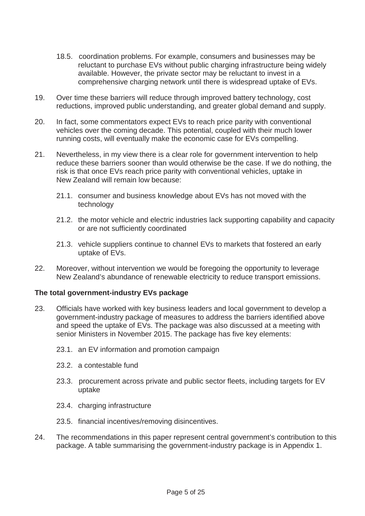- 18.5. coordination problems. For example, consumers and businesses may be reluctant to purchase EVs without public charging infrastructure being widely available. However, the private sector may be reluctant to invest in a comprehensive charging network until there is widespread uptake of EVs.
- 19. Over time these barriers will reduce through improved battery technology, cost reductions, improved public understanding, and greater global demand and supply.
- 20. In fact, some commentators expect EVs to reach price parity with conventional vehicles over the coming decade. This potential, coupled with their much lower running costs, will eventually make the economic case for EVs compelling.
- 21. Nevertheless, in my view there is a clear role for government intervention to help reduce these barriers sooner than would otherwise be the case. If we do nothing, the risk is that once EVs reach price parity with conventional vehicles, uptake in New Zealand will remain low because:
	- 21.1. consumer and business knowledge about EVs has not moved with the technology
	- 21.2. the motor vehicle and electric industries lack supporting capability and capacity or are not sufficiently coordinated
	- 21.3. vehicle suppliers continue to channel EVs to markets that fostered an early uptake of EVs.
- 22. Moreover, without intervention we would be foregoing the opportunity to leverage New Zealand's abundance of renewable electricity to reduce transport emissions.

# **The total government-industry EVs package**

- 23. Officials have worked with key business leaders and local government to develop a government-industry package of measures to address the barriers identified above and speed the uptake of EVs. The package was also discussed at a meeting with senior Ministers in November 2015. The package has five key elements:
	- 23.1. an EV information and promotion campaign
	- 23.2. a contestable fund
	- 23.3. procurement across private and public sector fleets, including targets for EV uptake
	- 23.4. charging infrastructure
	- 23.5. financial incentives/removing disincentives.
- 24. The recommendations in this paper represent central government's contribution to this package. A table summarising the government-industry package is in Appendix 1.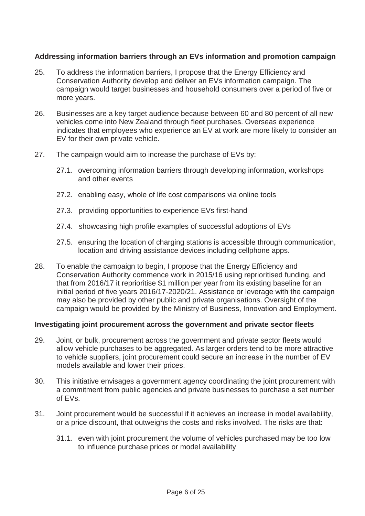# **Addressing information barriers through an EVs information and promotion campaign**

- 25. To address the information barriers, I propose that the Energy Efficiency and Conservation Authority develop and deliver an EVs information campaign. The campaign would target businesses and household consumers over a period of five or more years.
- 26. Businesses are a key target audience because between 60 and 80 percent of all new vehicles come into New Zealand through fleet purchases. Overseas experience indicates that employees who experience an EV at work are more likely to consider an EV for their own private vehicle.
- 27. The campaign would aim to increase the purchase of EVs by:
	- 27.1. overcoming information barriers through developing information, workshops and other events
	- 27.2. enabling easy, whole of life cost comparisons via online tools
	- 27.3. providing opportunities to experience EVs first-hand
	- 27.4. showcasing high profile examples of successful adoptions of EVs
	- 27.5. ensuring the location of charging stations is accessible through communication, location and driving assistance devices including cellphone apps.
- 28. To enable the campaign to begin, I propose that the Energy Efficiency and Conservation Authority commence work in 2015/16 using reprioritised funding, and that from 2016/17 it reprioritise \$1 million per year from its existing baseline for an initial period of five years 2016/17-2020/21. Assistance or leverage with the campaign may also be provided by other public and private organisations. Oversight of the campaign would be provided by the Ministry of Business, Innovation and Employment.

### **Investigating joint procurement across the government and private sector fleets**

- 29. Joint, or bulk, procurement across the government and private sector fleets would allow vehicle purchases to be aggregated. As larger orders tend to be more attractive to vehicle suppliers, joint procurement could secure an increase in the number of EV models available and lower their prices.
- 30. This initiative envisages a government agency coordinating the joint procurement with a commitment from public agencies and private businesses to purchase a set number of EVs.
- 31. Joint procurement would be successful if it achieves an increase in model availability, or a price discount, that outweighs the costs and risks involved. The risks are that:
	- 31.1. even with joint procurement the volume of vehicles purchased may be too low to influence purchase prices or model availability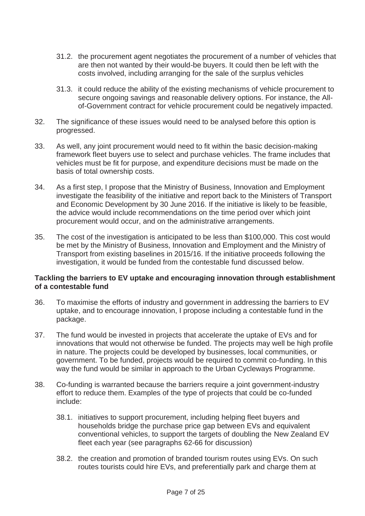- 31.2. the procurement agent negotiates the procurement of a number of vehicles that are then not wanted by their would-be buyers. It could then be left with the costs involved, including arranging for the sale of the surplus vehicles
- 31.3. it could reduce the ability of the existing mechanisms of vehicle procurement to secure ongoing savings and reasonable delivery options. For instance, the Allof-Government contract for vehicle procurement could be negatively impacted.
- 32. The significance of these issues would need to be analysed before this option is progressed.
- 33. As well, any joint procurement would need to fit within the basic decision-making framework fleet buyers use to select and purchase vehicles. The frame includes that vehicles must be fit for purpose, and expenditure decisions must be made on the basis of total ownership costs.
- 34. As a first step, I propose that the Ministry of Business, Innovation and Employment investigate the feasibility of the initiative and report back to the Ministers of Transport and Economic Development by 30 June 2016. If the initiative is likely to be feasible, the advice would include recommendations on the time period over which joint procurement would occur, and on the administrative arrangements.
- 35. The cost of the investigation is anticipated to be less than \$100,000. This cost would be met by the Ministry of Business, Innovation and Employment and the Ministry of Transport from existing baselines in 2015/16. If the initiative proceeds following the investigation, it would be funded from the contestable fund discussed below.

### **Tackling the barriers to EV uptake and encouraging innovation through establishment of a contestable fund**

- 36. To maximise the efforts of industry and government in addressing the barriers to EV uptake, and to encourage innovation, I propose including a contestable fund in the package.
- 37. The fund would be invested in projects that accelerate the uptake of EVs and for innovations that would not otherwise be funded. The projects may well be high profile in nature. The projects could be developed by businesses, local communities, or government. To be funded, projects would be required to commit co-funding. In this way the fund would be similar in approach to the Urban Cycleways Programme.
- 38. Co-funding is warranted because the barriers require a joint government-industry effort to reduce them. Examples of the type of projects that could be co-funded include:
	- 38.1. initiatives to support procurement, including helping fleet buyers and households bridge the purchase price gap between EVs and equivalent conventional vehicles, to support the targets of doubling the New Zealand EV fleet each year (see paragraphs 62-66 for discussion)
	- 38.2. the creation and promotion of branded tourism routes using EVs. On such routes tourists could hire EVs, and preferentially park and charge them at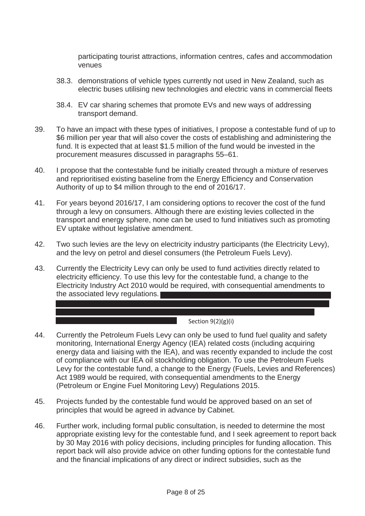participating tourist attractions, information centres, cafes and accommodation venues

- 38.3. demonstrations of vehicle types currently not used in New Zealand, such as electric buses utilising new technologies and electric vans in commercial fleets
- 38.4. EV car sharing schemes that promote EVs and new ways of addressing transport demand.
- 39. To have an impact with these types of initiatives, I propose a contestable fund of up to \$6 million per year that will also cover the costs of establishing and administering the fund. It is expected that at least \$1.5 million of the fund would be invested in the procurement measures discussed in paragraphs 55–61.
- 40. I propose that the contestable fund be initially created through a mixture of reserves and reprioritised existing baseline from the Energy Efficiency and Conservation Authority of up to \$4 million through to the end of 2016/17.
- 41. For years beyond 2016/17, I am considering options to recover the cost of the fund through a levy on consumers. Although there are existing levies collected in the transport and energy sphere, none can be used to fund initiatives such as promoting EV uptake without legislative amendment.
- 42. Two such levies are the levy on electricity industry participants (the Electricity Levy), and the levy on petrol and diesel consumers (the Petroleum Fuels Levy).
- 43. Currently the Electricity Levy can only be used to fund activities directly related to electricity efficiency. To use this levy for the contestable fund, a change to the Electricity Industry Act 2010 would be required, with consequential amendments to the associated levy regulations.

### $Section(9(2)(g)(i)$

- 44. Currently the Petroleum Fuels Levy can only be used to fund fuel quality and safety monitoring, International Energy Agency (IEA) related costs (including acquiring energy data and liaising with the IEA), and was recently expanded to include the cost of compliance with our IEA oil stockholding obligation. To use the Petroleum Fuels Levy for the contestable fund, a change to the Energy (Fuels, Levies and References) Act 1989 would be required, with consequential amendments to the Energy (Petroleum or Engine Fuel Monitoring Levy) Regulations 2015.
- 45. Projects funded by the contestable fund would be approved based on an set of principles that would be agreed in advance by Cabinet.
- 46. Further work, including formal public consultation, is needed to determine the most appropriate existing levy for the contestable fund, and I seek agreement to report back by 30 May 2016 with policy decisions, including principles for funding allocation. This report back will also provide advice on other funding options for the contestable fund and the financial implications of any direct or indirect subsidies, such as the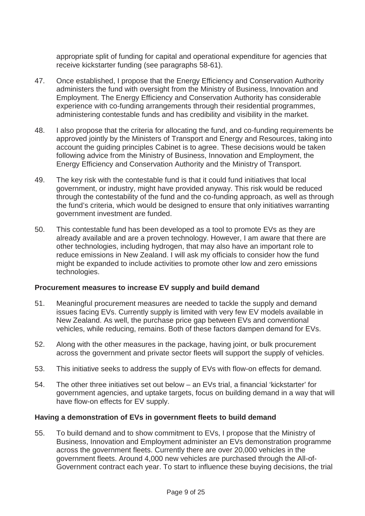appropriate split of funding for capital and operational expenditure for agencies that receive kickstarter funding (see paragraphs 58-61).

- 47. Once established, I propose that the Energy Efficiency and Conservation Authority administers the fund with oversight from the Ministry of Business, Innovation and Employment. The Energy Efficiency and Conservation Authority has considerable experience with co-funding arrangements through their residential programmes, administering contestable funds and has credibility and visibility in the market.
- 48. I also propose that the criteria for allocating the fund, and co-funding requirements be approved jointly by the Ministers of Transport and Energy and Resources, taking into account the guiding principles Cabinet is to agree. These decisions would be taken following advice from the Ministry of Business, Innovation and Employment, the Energy Efficiency and Conservation Authority and the Ministry of Transport.
- 49. The key risk with the contestable fund is that it could fund initiatives that local government, or industry, might have provided anyway. This risk would be reduced through the contestability of the fund and the co-funding approach, as well as through the fund's criteria, which would be designed to ensure that only initiatives warranting government investment are funded.
- 50. This contestable fund has been developed as a tool to promote EVs as they are already available and are a proven technology. However, I am aware that there are other technologies, including hydrogen, that may also have an important role to reduce emissions in New Zealand. I will ask my officials to consider how the fund might be expanded to include activities to promote other low and zero emissions technologies.

# **Procurement measures to increase EV supply and build demand**

- 51. Meaningful procurement measures are needed to tackle the supply and demand issues facing EVs. Currently supply is limited with very few EV models available in New Zealand. As well, the purchase price gap between EVs and conventional vehicles, while reducing, remains. Both of these factors dampen demand for EVs.
- 52. Along with the other measures in the package, having joint, or bulk procurement across the government and private sector fleets will support the supply of vehicles.
- 53. This initiative seeks to address the supply of EVs with flow-on effects for demand.
- 54. The other three initiatives set out below an EVs trial, a financial 'kickstarter' for government agencies, and uptake targets, focus on building demand in a way that will have flow-on effects for EV supply.

### **Having a demonstration of EVs in government fleets to build demand**

55. To build demand and to show commitment to EVs, I propose that the Ministry of Business, Innovation and Employment administer an EVs demonstration programme across the government fleets. Currently there are over 20,000 vehicles in the government fleets. Around 4,000 new vehicles are purchased through the All-of-Government contract each year. To start to influence these buying decisions, the trial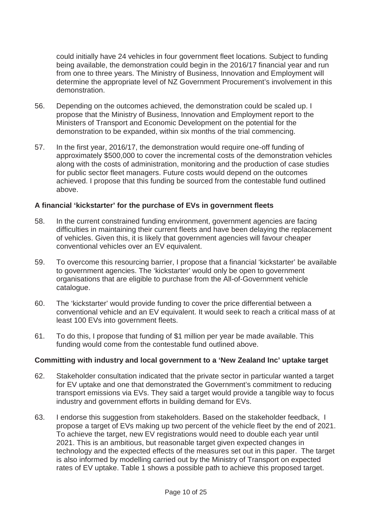could initially have 24 vehicles in four government fleet locations. Subject to funding being available, the demonstration could begin in the 2016/17 financial year and run from one to three years. The Ministry of Business, Innovation and Employment will determine the appropriate level of NZ Government Procurement's involvement in this demonstration.

- 56. Depending on the outcomes achieved, the demonstration could be scaled up. I propose that the Ministry of Business, Innovation and Employment report to the Ministers of Transport and Economic Development on the potential for the demonstration to be expanded, within six months of the trial commencing.
- 57. In the first year, 2016/17, the demonstration would require one-off funding of approximately \$500,000 to cover the incremental costs of the demonstration vehicles along with the costs of administration, monitoring and the production of case studies for public sector fleet managers. Future costs would depend on the outcomes achieved. I propose that this funding be sourced from the contestable fund outlined above.

# **A financial 'kickstarter' for the purchase of EVs in government fleets**

- 58. In the current constrained funding environment, government agencies are facing difficulties in maintaining their current fleets and have been delaying the replacement of vehicles. Given this, it is likely that government agencies will favour cheaper conventional vehicles over an EV equivalent.
- 59. To overcome this resourcing barrier, I propose that a financial 'kickstarter' be available to government agencies. The 'kickstarter' would only be open to government organisations that are eligible to purchase from the All-of-Government vehicle catalogue.
- 60. The 'kickstarter' would provide funding to cover the price differential between a conventional vehicle and an EV equivalent. It would seek to reach a critical mass of at least 100 EVs into government fleets.
- 61. To do this, I propose that funding of \$1 million per year be made available. This funding would come from the contestable fund outlined above.

### **Committing with industry and local government to a 'New Zealand Inc' uptake target**

- 62. Stakeholder consultation indicated that the private sector in particular wanted a target for EV uptake and one that demonstrated the Government's commitment to reducing transport emissions via EVs. They said a target would provide a tangible way to focus industry and government efforts in building demand for EVs.
- 63. I endorse this suggestion from stakeholders. Based on the stakeholder feedback, I propose a target of EVs making up two percent of the vehicle fleet by the end of 2021. To achieve the target, new EV registrations would need to double each year until 2021. This is an ambitious, but reasonable target given expected changes in technology and the expected effects of the measures set out in this paper. The target is also informed by modelling carried out by the Ministry of Transport on expected rates of EV uptake. Table 1 shows a possible path to achieve this proposed target.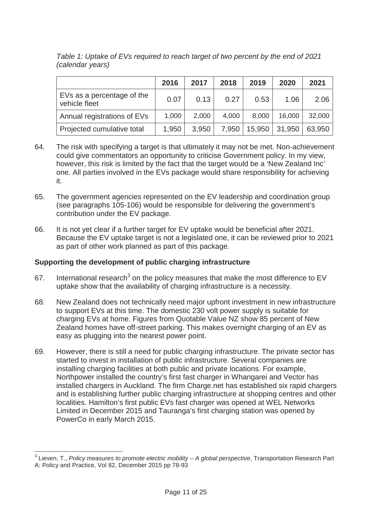|                                             | 2016  | 2017  | 2018  | 2019   | 2020   | 2021   |
|---------------------------------------------|-------|-------|-------|--------|--------|--------|
| EVs as a percentage of the<br>vehicle fleet | 0.07  | 0.13  | 0.27  | 0.53   | 1.06   | 2.06   |
| Annual registrations of EVs                 | 1,000 | 2,000 | 4,000 | 8,000  | 16,000 | 32,000 |
| Projected cumulative total                  | 1,950 | 3,950 | 7,950 | 15,950 | 31,950 | 63,950 |

*Table 1: Uptake of EVs required to reach target of two percent by the end of 2021 (calendar years)* 

- 64. The risk with specifying a target is that ultimately it may not be met. Non-achievement could give commentators an opportunity to criticise Government policy. In my view, however, this risk is limited by the fact that the target would be a 'New Zealand Inc' one. All parties involved in the EVs package would share responsibility for achieving it.
- 65. The government agencies represented on the EV leadership and coordination group (see paragraphs 105-106) would be responsible for delivering the government's contribution under the EV package.
- 66. It is not yet clear if a further target for EV uptake would be beneficial after 2021. Because the EV uptake target is not a legislated one, it can be reviewed prior to 2021 as part of other work planned as part of this package.

# **Supporting the development of public charging infrastructure**

- 67. International research<sup>3</sup> on the policy measures that make the most difference to EV uptake show that the availability of charging infrastructure is a necessity.
- 68. New Zealand does not technically need major upfront investment in new infrastructure to support EVs at this time. The domestic 230 volt power supply is suitable for charging EVs at home. Figures from Quotable Value NZ show 85 percent of New Zealand homes have off-street parking. This makes overnight charging of an EV as easy as plugging into the nearest power point.
- 69. However, there is still a need for public charging infrastructure. The private sector has started to invest in installation of public infrastructure. Several companies are installing charging facilities at both public and private locations. For example, Northpower installed the country's first fast charger in Whangarei and Vector has installed chargers in Auckland. The firm Charge.net has established six rapid chargers and is establishing further public charging infrastructure at shopping centres and other localities. Hamilton's first public EVs fast charger was opened at WEL Networks Limited in December 2015 and Tauranga's first charging station was opened by PowerCo in early March 2015.

<sup>&</sup>lt;sup>3</sup> Lieven, T., *Policy measures to promote electric mobility – A global perspective, Transportation Research Part* A: Policy and Practice, Vol 82, December 2015 pp 78-93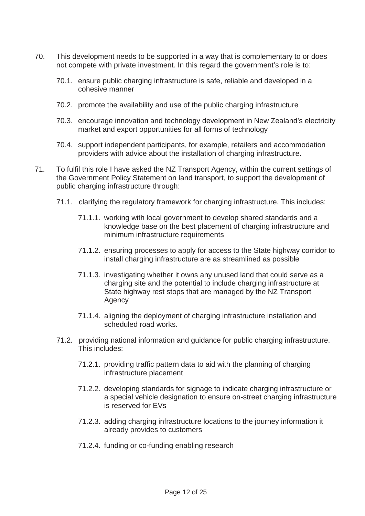- 70. This development needs to be supported in a way that is complementary to or does not compete with private investment. In this regard the government's role is to:
	- 70.1. ensure public charging infrastructure is safe, reliable and developed in a cohesive manner
	- 70.2. promote the availability and use of the public charging infrastructure
	- 70.3. encourage innovation and technology development in New Zealand's electricity market and export opportunities for all forms of technology
	- 70.4. support independent participants, for example, retailers and accommodation providers with advice about the installation of charging infrastructure.
- 71. To fulfil this role I have asked the NZ Transport Agency, within the current settings of the Government Policy Statement on land transport, to support the development of public charging infrastructure through:
	- 71.1. clarifying the regulatory framework for charging infrastructure. This includes:
		- 71.1.1. working with local government to develop shared standards and a knowledge base on the best placement of charging infrastructure and minimum infrastructure requirements
		- 71.1.2. ensuring processes to apply for access to the State highway corridor to install charging infrastructure are as streamlined as possible
		- 71.1.3. investigating whether it owns any unused land that could serve as a charging site and the potential to include charging infrastructure at State highway rest stops that are managed by the NZ Transport Agency
		- 71.1.4. aligning the deployment of charging infrastructure installation and scheduled road works.
	- 71.2. providing national information and guidance for public charging infrastructure. This includes:
		- 71.2.1. providing traffic pattern data to aid with the planning of charging infrastructure placement
		- 71.2.2. developing standards for signage to indicate charging infrastructure or a special vehicle designation to ensure on-street charging infrastructure is reserved for EVs
		- 71.2.3. adding charging infrastructure locations to the journey information it already provides to customers
		- 71.2.4. funding or co-funding enabling research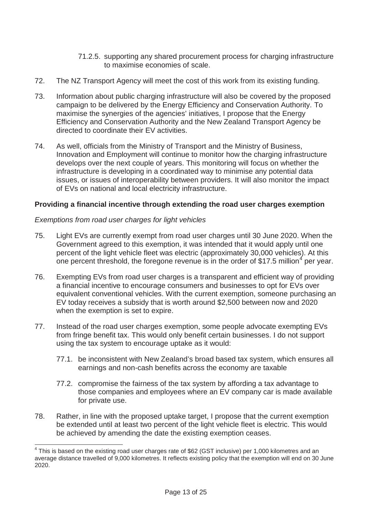- 71.2.5. supporting any shared procurement process for charging infrastructure to maximise economies of scale.
- 72. The NZ Transport Agency will meet the cost of this work from its existing funding.
- 73. Information about public charging infrastructure will also be covered by the proposed campaign to be delivered by the Energy Efficiency and Conservation Authority. To maximise the synergies of the agencies' initiatives, I propose that the Energy Efficiency and Conservation Authority and the New Zealand Transport Agency be directed to coordinate their EV activities.
- 74. As well, officials from the Ministry of Transport and the Ministry of Business, Innovation and Employment will continue to monitor how the charging infrastructure develops over the next couple of years. This monitoring will focus on whether the infrastructure is developing in a coordinated way to minimise any potential data issues, or issues of interoperability between providers. It will also monitor the impact of EVs on national and local electricity infrastructure.

# **Providing a financial incentive through extending the road user charges exemption**

# *Exemptions from road user charges for light vehicles*

- 75. Light EVs are currently exempt from road user charges until 30 June 2020. When the Government agreed to this exemption, it was intended that it would apply until one percent of the light vehicle fleet was electric (approximately 30,000 vehicles). At this one percent threshold, the foregone revenue is in the order of \$17.5 million<sup>4</sup> per year.
- 76. Exempting EVs from road user charges is a transparent and efficient way of providing a financial incentive to encourage consumers and businesses to opt for EVs over equivalent conventional vehicles. With the current exemption, someone purchasing an EV today receives a subsidy that is worth around \$2,500 between now and 2020 when the exemption is set to expire.
- 77. Instead of the road user charges exemption, some people advocate exempting EVs from fringe benefit tax. This would only benefit certain businesses. I do not support using the tax system to encourage uptake as it would:
	- 77.1. be inconsistent with New Zealand's broad based tax system, which ensures all earnings and non-cash benefits across the economy are taxable
	- 77.2. compromise the fairness of the tax system by affording a tax advantage to those companies and employees where an EV company car is made available for private use.
- 78. Rather, in line with the proposed uptake target, I propose that the current exemption be extended until at least two percent of the light vehicle fleet is electric. This would be achieved by amending the date the existing exemption ceases.

 $4$  This is based on the existing road user charges rate of \$62 (GST inclusive) per 1,000 kilometres and an average distance travelled of 9,000 kilometres. It reflects existing policy that the exemption will end on 30 June 2020.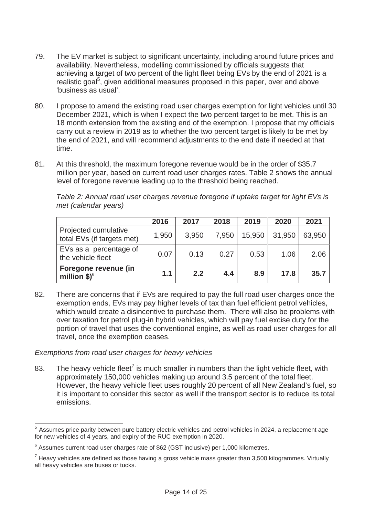- 79. The EV market is subject to significant uncertainty, including around future prices and availability. Nevertheless, modelling commissioned by officials suggests that achieving a target of two percent of the light fleet being EVs by the end of 2021 is a realistic goal<sup>5</sup>, given additional measures proposed in this paper, over and above 'business as usual'.
- 80. I propose to amend the existing road user charges exemption for light vehicles until 30 December 2021, which is when I expect the two percent target to be met. This is an 18 month extension from the existing end of the exemption. I propose that my officials carry out a review in 2019 as to whether the two percent target is likely to be met by the end of 2021, and will recommend adjustments to the end date if needed at that time.
- 81. At this threshold, the maximum foregone revenue would be in the order of \$35.7 million per year, based on current road user charges rates. Table 2 shows the annual level of foregone revenue leading up to the threshold being reached.

|                                                    | 2016  | 2017  | 2018  | 2019   | 2020   | 2021   |
|----------------------------------------------------|-------|-------|-------|--------|--------|--------|
| Projected cumulative<br>total EVs (if targets met) | 1,950 | 3,950 | 7,950 | 15,950 | 31,950 | 63,950 |
| EVs as a percentage of<br>the vehicle fleet        | 0.07  | 0.13  | 0.27  | 0.53   | 1.06   | 2.06   |
| Foregone revenue (in<br>million $$)^6$             | 1.1   | 2.2   | 4.4   | 8.9    | 17.8   | 35.7   |

*Table 2: Annual road user charges revenue foregone if uptake target for light EVs is met (calendar years)* 

82. There are concerns that if EVs are required to pay the full road user charges once the exemption ends, EVs may pay higher levels of tax than fuel efficient petrol vehicles, which would create a disincentive to purchase them. There will also be problems with over taxation for petrol plug-in hybrid vehicles, which will pay fuel excise duty for the portion of travel that uses the conventional engine, as well as road user charges for all travel, once the exemption ceases.

# *Exemptions from road user charges for heavy vehicles*

83. The heavy vehicle fleet<sup>7</sup> is much smaller in numbers than the light vehicle fleet, with approximately 150,000 vehicles making up around 3.5 percent of the total fleet. However, the heavy vehicle fleet uses roughly 20 percent of all New Zealand's fuel, so it is important to consider this sector as well if the transport sector is to reduce its total emissions.

<sup>5</sup> Assumes price parity between pure battery electric vehicles and petrol vehicles in 2024, a replacement age for new vehicles of 4 years, and expiry of the RUC exemption in 2020.

 $6$  Assumes current road user charges rate of \$62 (GST inclusive) per 1,000 kilometres.

 $<sup>7</sup>$  Heavy vehicles are defined as those having a gross vehicle mass greater than 3,500 kilogrammes. Virtually</sup> all heavy vehicles are buses or tucks.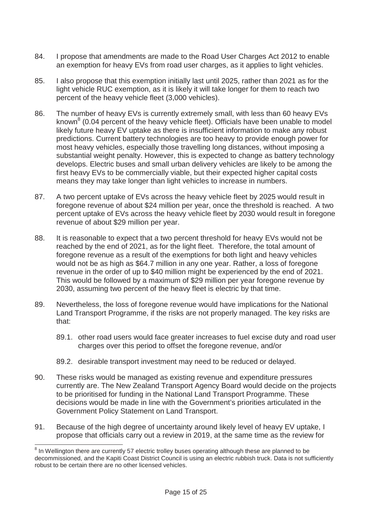- 84. I propose that amendments are made to the Road User Charges Act 2012 to enable an exemption for heavy EVs from road user charges, as it applies to light vehicles.
- 85. I also propose that this exemption initially last until 2025, rather than 2021 as for the light vehicle RUC exemption, as it is likely it will take longer for them to reach two percent of the heavy vehicle fleet (3,000 vehicles).
- 86. The number of heavy EVs is currently extremely small, with less than 60 heavy EVs known<sup>8</sup> (0.04 percent of the heavy vehicle fleet). Officials have been unable to model likely future heavy EV uptake as there is insufficient information to make any robust predictions. Current battery technologies are too heavy to provide enough power for most heavy vehicles, especially those travelling long distances, without imposing a substantial weight penalty. However, this is expected to change as battery technology develops. Electric buses and small urban delivery vehicles are likely to be among the first heavy EVs to be commercially viable, but their expected higher capital costs means they may take longer than light vehicles to increase in numbers.
- 87. A two percent uptake of EVs across the heavy vehicle fleet by 2025 would result in foregone revenue of about \$24 million per year, once the threshold is reached. A two percent uptake of EVs across the heavy vehicle fleet by 2030 would result in foregone revenue of about \$29 million per year.
- 88. It is reasonable to expect that a two percent threshold for heavy EVs would not be reached by the end of 2021, as for the light fleet. Therefore, the total amount of foregone revenue as a result of the exemptions for both light and heavy vehicles would not be as high as \$64.7 million in any one year. Rather, a loss of foregone revenue in the order of up to \$40 million might be experienced by the end of 2021. This would be followed by a maximum of \$29 million per year foregone revenue by 2030, assuming two percent of the heavy fleet is electric by that time.
- 89. Nevertheless, the loss of foregone revenue would have implications for the National Land Transport Programme, if the risks are not properly managed. The key risks are that:
	- 89.1. other road users would face greater increases to fuel excise duty and road user charges over this period to offset the foregone revenue, and/or
	- 89.2. desirable transport investment may need to be reduced or delayed.
- 90. These risks would be managed as existing revenue and expenditure pressures currently are. The New Zealand Transport Agency Board would decide on the projects to be prioritised for funding in the National Land Transport Programme. These decisions would be made in line with the Government's priorities articulated in the Government Policy Statement on Land Transport.
- 91. Because of the high degree of uncertainty around likely level of heavy EV uptake, I propose that officials carry out a review in 2019, at the same time as the review for

 $8$  In Wellington there are currently 57 electric trolley buses operating although these are planned to be decommissioned, and the Kapiti Coast District Council is using an electric rubbish truck. Data is not sufficiently robust to be certain there are no other licensed vehicles.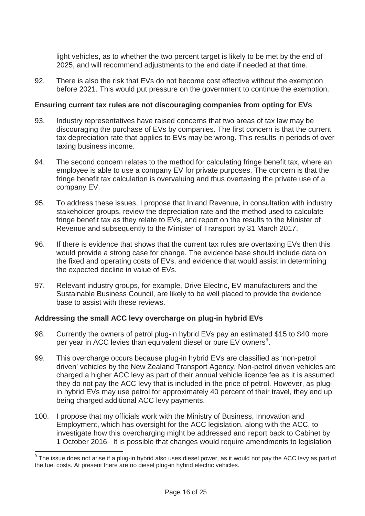light vehicles, as to whether the two percent target is likely to be met by the end of 2025, and will recommend adjustments to the end date if needed at that time.

92. There is also the risk that EVs do not become cost effective without the exemption before 2021. This would put pressure on the government to continue the exemption.

# **Ensuring current tax rules are not discouraging companies from opting for EVs**

- 93. Industry representatives have raised concerns that two areas of tax law may be discouraging the purchase of EVs by companies. The first concern is that the current tax depreciation rate that applies to EVs may be wrong. This results in periods of over taxing business income.
- 94. The second concern relates to the method for calculating fringe benefit tax, where an employee is able to use a company EV for private purposes. The concern is that the fringe benefit tax calculation is overvaluing and thus overtaxing the private use of a company EV.
- 95. To address these issues, I propose that Inland Revenue, in consultation with industry stakeholder groups, review the depreciation rate and the method used to calculate fringe benefit tax as they relate to EVs, and report on the results to the Minister of Revenue and subsequently to the Minister of Transport by 31 March 2017.
- 96. If there is evidence that shows that the current tax rules are overtaxing EVs then this would provide a strong case for change. The evidence base should include data on the fixed and operating costs of EVs, and evidence that would assist in determining the expected decline in value of EVs.
- 97. Relevant industry groups, for example, Drive Electric, EV manufacturers and the Sustainable Business Council, are likely to be well placed to provide the evidence base to assist with these reviews.

# **Addressing the small ACC levy overcharge on plug-in hybrid EVs**

- 98. Currently the owners of petrol plug-in hybrid EVs pay an estimated \$15 to \$40 more per year in ACC levies than equivalent diesel or pure EV owners<sup>9</sup>.
- 99. This overcharge occurs because plug-in hybrid EVs are classified as 'non-petrol driven' vehicles by the New Zealand Transport Agency. Non-petrol driven vehicles are charged a higher ACC levy as part of their annual vehicle licence fee as it is assumed they do not pay the ACC levy that is included in the price of petrol. However, as plugin hybrid EVs may use petrol for approximately 40 percent of their travel, they end up being charged additional ACC levy payments.
- 100. I propose that my officials work with the Ministry of Business, Innovation and Employment, which has oversight for the ACC legislation, along with the ACC, to investigate how this overcharging might be addressed and report back to Cabinet by 1 October 2016. It is possible that changes would require amendments to legislation

 $^9$  The issue does not arise if a plug-in hybrid also uses diesel power, as it would not pay the ACC levy as part of the fuel costs. At present there are no diesel plug-in hybrid electric vehicles.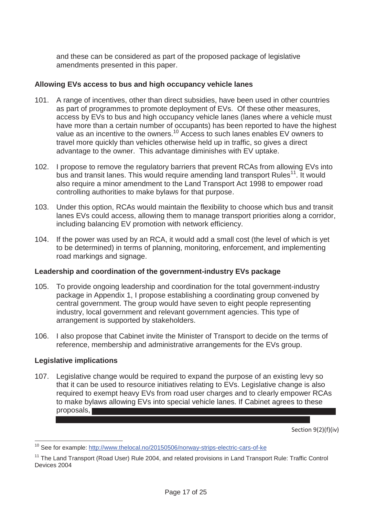and these can be considered as part of the proposed package of legislative amendments presented in this paper.

# **Allowing EVs access to bus and high occupancy vehicle lanes**

- 101. A range of incentives, other than direct subsidies, have been used in other countries as part of programmes to promote deployment of EVs. Of these other measures, access by EVs to bus and high occupancy vehicle lanes (lanes where a vehicle must have more than a certain number of occupants) has been reported to have the highest value as an incentive to the owners.<sup>10</sup> Access to such lanes enables EV owners to travel more quickly than vehicles otherwise held up in traffic, so gives a direct advantage to the owner. This advantage diminishes with EV uptake.
- 102. I propose to remove the regulatory barriers that prevent RCAs from allowing EVs into bus and transit lanes. This would require amending land transport Rules<sup>11</sup>. It would also require a minor amendment to the Land Transport Act 1998 to empower road controlling authorities to make bylaws for that purpose.
- 103. Under this option, RCAs would maintain the flexibility to choose which bus and transit lanes EVs could access, allowing them to manage transport priorities along a corridor, including balancing EV promotion with network efficiency.
- 104. If the power was used by an RCA, it would add a small cost (the level of which is yet to be determined) in terms of planning, monitoring, enforcement, and implementing road markings and signage.

# **Leadership and coordination of the government-industry EVs package**

- 105. To provide ongoing leadership and coordination for the total government-industry package in Appendix 1, I propose establishing a coordinating group convened by central government. The group would have seven to eight people representing industry, local government and relevant government agencies. This type of arrangement is supported by stakeholders.
- 106. I also propose that Cabinet invite the Minister of Transport to decide on the terms of reference, membership and administrative arrangements for the EVs group.

# **Legislative implications**

107. Legislative change would be required to expand the purpose of an existing levy so that it can be used to resource initiatives relating to EVs. Legislative change is also required to exempt heavy EVs from road user charges and to clearly empower RCAs to make bylaws allowing EVs into special vehicle lanes. If Cabinet agrees to these proposals,

Section 9(2)(f)(iv)

<sup>&</sup>lt;sup>10</sup> See for example: http://www.thelocal.no/20150506/norway-strips-electric-cars-of-ke

<sup>&</sup>lt;sup>11</sup> The Land Transport (Road User) Rule 2004, and related provisions in Land Transport Rule: Traffic Control Devices 2004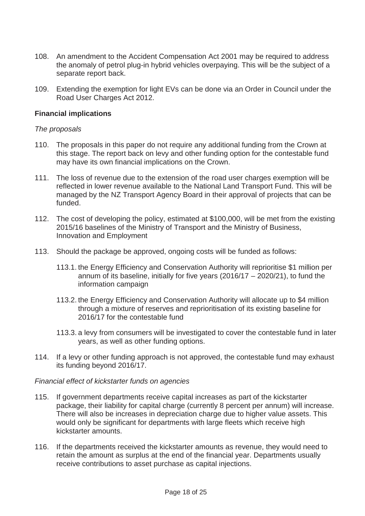- 108. An amendment to the Accident Compensation Act 2001 may be required to address the anomaly of petrol plug-in hybrid vehicles overpaying. This will be the subject of a separate report back.
- 109. Extending the exemption for light EVs can be done via an Order in Council under the Road User Charges Act 2012.

### **Financial implications**

### *The proposals*

- 110. The proposals in this paper do not require any additional funding from the Crown at this stage. The report back on levy and other funding option for the contestable fund may have its own financial implications on the Crown.
- 111. The loss of revenue due to the extension of the road user charges exemption will be reflected in lower revenue available to the National Land Transport Fund. This will be managed by the NZ Transport Agency Board in their approval of projects that can be funded.
- 112. The cost of developing the policy, estimated at \$100,000, will be met from the existing 2015/16 baselines of the Ministry of Transport and the Ministry of Business, Innovation and Employment
- 113. Should the package be approved, ongoing costs will be funded as follows:
	- 113.1. the Energy Efficiency and Conservation Authority will reprioritise \$1 million per annum of its baseline, initially for five years (2016/17 – 2020/21), to fund the information campaign
	- 113.2. the Energy Efficiency and Conservation Authority will allocate up to \$4 million through a mixture of reserves and reprioritisation of its existing baseline for 2016/17 for the contestable fund
	- 113.3. a levy from consumers will be investigated to cover the contestable fund in later years, as well as other funding options.
- 114. If a levy or other funding approach is not approved, the contestable fund may exhaust its funding beyond 2016/17.

### *Financial effect of kickstarter funds on agencies*

- 115. If government departments receive capital increases as part of the kickstarter package, their liability for capital charge (currently 8 percent per annum) will increase. There will also be increases in depreciation charge due to higher value assets. This would only be significant for departments with large fleets which receive high kickstarter amounts.
- 116. If the departments received the kickstarter amounts as revenue, they would need to retain the amount as surplus at the end of the financial year. Departments usually receive contributions to asset purchase as capital injections.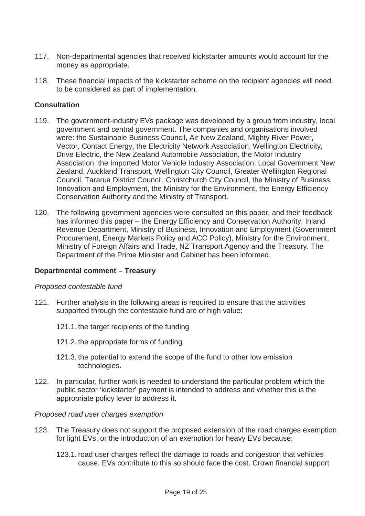- 117. Non-departmental agencies that received kickstarter amounts would account for the money as appropriate.
- 118. These financial impacts of the kickstarter scheme on the recipient agencies will need to be considered as part of implementation.

# **Consultation**

- 119. The government-industry EVs package was developed by a group from industry, local government and central government. The companies and organisations involved were: the Sustainable Business Council, Air New Zealand, Mighty River Power, Vector, Contact Energy, the Electricity Network Association, Wellington Electricity, Drive Electric, the New Zealand Automobile Association, the Motor Industry Association, the Imported Motor Vehicle Industry Association, Local Government New Zealand, Auckland Transport, Wellington City Council, Greater Wellington Regional Council, Tararua District Council, Christchurch City Council, the Ministry of Business, Innovation and Employment, the Ministry for the Environment, the Energy Efficiency Conservation Authority and the Ministry of Transport.
- 120. The following government agencies were consulted on this paper, and their feedback has informed this paper – the Energy Efficiency and Conservation Authority, Inland Revenue Department, Ministry of Business, Innovation and Employment (Government Procurement, Energy Markets Policy and ACC Policy), Ministry for the Environment, Ministry of Foreign Affairs and Trade, NZ Transport Agency and the Treasury. The Department of the Prime Minister and Cabinet has been informed.

# **Departmental comment – Treasury**

# *Proposed contestable fund*

- 121. Further analysis in the following areas is required to ensure that the activities supported through the contestable fund are of high value:
	- 121.1. the target recipients of the funding
	- 121.2. the appropriate forms of funding
	- 121.3. the potential to extend the scope of the fund to other low emission technologies.
- 122. In particular, further work is needed to understand the particular problem which the public sector 'kickstarter' payment is intended to address and whether this is the appropriate policy lever to address it.

# *Proposed road user charges exemption*

- 123. The Treasury does not support the proposed extension of the road charges exemption for light EVs, or the introduction of an exemption for heavy EVs because:
	- 123.1. road user charges reflect the damage to roads and congestion that vehicles cause. EVs contribute to this so should face the cost. Crown financial support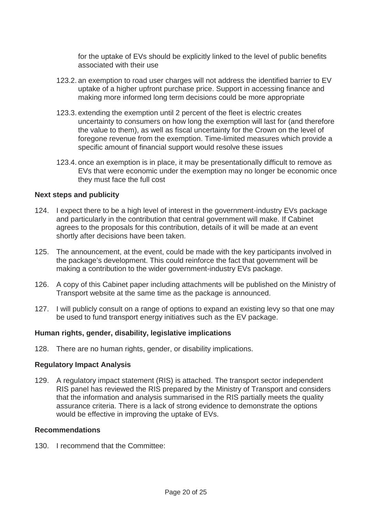for the uptake of EVs should be explicitly linked to the level of public benefits associated with their use

- 123.2. an exemption to road user charges will not address the identified barrier to EV uptake of a higher upfront purchase price. Support in accessing finance and making more informed long term decisions could be more appropriate
- 123.3. extending the exemption until 2 percent of the fleet is electric creates uncertainty to consumers on how long the exemption will last for (and therefore the value to them), as well as fiscal uncertainty for the Crown on the level of foregone revenue from the exemption. Time-limited measures which provide a specific amount of financial support would resolve these issues
- 123.4. once an exemption is in place, it may be presentationally difficult to remove as EVs that were economic under the exemption may no longer be economic once they must face the full cost

### **Next steps and publicity**

- 124. I expect there to be a high level of interest in the government-industry EVs package and particularly in the contribution that central government will make. If Cabinet agrees to the proposals for this contribution, details of it will be made at an event shortly after decisions have been taken.
- 125. The announcement, at the event, could be made with the key participants involved in the package's development. This could reinforce the fact that government will be making a contribution to the wider government-industry EVs package.
- 126. A copy of this Cabinet paper including attachments will be published on the Ministry of Transport website at the same time as the package is announced.
- 127. I will publicly consult on a range of options to expand an existing levy so that one may be used to fund transport energy initiatives such as the EV package.

# **Human rights, gender, disability, legislative implications**

128. There are no human rights, gender, or disability implications.

# **Regulatory Impact Analysis**

129. A regulatory impact statement (RIS) is attached. The transport sector independent RIS panel has reviewed the RIS prepared by the Ministry of Transport and considers that the information and analysis summarised in the RIS partially meets the quality assurance criteria. There is a lack of strong evidence to demonstrate the options would be effective in improving the uptake of EVs.

### **Recommendations**

130. I recommend that the Committee: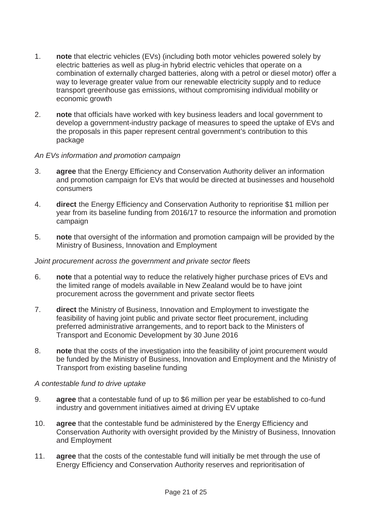- 1. **note** that electric vehicles (EVs) (including both motor vehicles powered solely by electric batteries as well as plug-in hybrid electric vehicles that operate on a combination of externally charged batteries, along with a petrol or diesel motor) offer a way to leverage greater value from our renewable electricity supply and to reduce transport greenhouse gas emissions, without compromising individual mobility or economic growth
- 2. **note** that officials have worked with key business leaders and local government to develop a government-industry package of measures to speed the uptake of EVs and the proposals in this paper represent central government's contribution to this package

# *An EVs information and promotion campaign*

- 3. **agree** that the Energy Efficiency and Conservation Authority deliver an information and promotion campaign for EVs that would be directed at businesses and household consumers
- 4. **direct** the Energy Efficiency and Conservation Authority to reprioritise \$1 million per year from its baseline funding from 2016/17 to resource the information and promotion campaign
- 5. **note** that oversight of the information and promotion campaign will be provided by the Ministry of Business, Innovation and Employment

### *Joint procurement across the government and private sector fleets*

- 6. **note** that a potential way to reduce the relatively higher purchase prices of EVs and the limited range of models available in New Zealand would be to have joint procurement across the government and private sector fleets
- 7. **direct** the Ministry of Business, Innovation and Employment to investigate the feasibility of having joint public and private sector fleet procurement, including preferred administrative arrangements, and to report back to the Ministers of Transport and Economic Development by 30 June 2016
- 8. **note** that the costs of the investigation into the feasibility of joint procurement would be funded by the Ministry of Business, Innovation and Employment and the Ministry of Transport from existing baseline funding

# *A contestable fund to drive uptake*

- 9. **agree** that a contestable fund of up to \$6 million per year be established to co-fund industry and government initiatives aimed at driving EV uptake
- 10. **agree** that the contestable fund be administered by the Energy Efficiency and Conservation Authority with oversight provided by the Ministry of Business, Innovation and Employment
- 11. **agree** that the costs of the contestable fund will initially be met through the use of Energy Efficiency and Conservation Authority reserves and reprioritisation of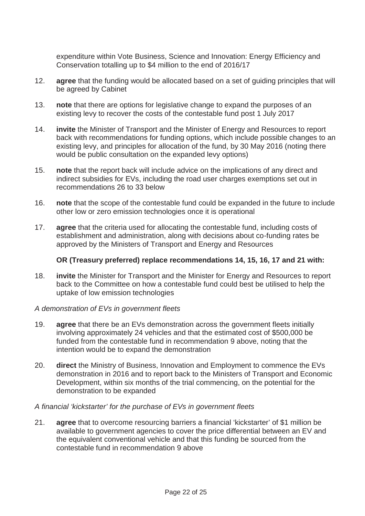expenditure within Vote Business, Science and Innovation: Energy Efficiency and Conservation totalling up to \$4 million to the end of 2016/17

- 12. **agree** that the funding would be allocated based on a set of guiding principles that will be agreed by Cabinet
- 13. **note** that there are options for legislative change to expand the purposes of an existing levy to recover the costs of the contestable fund post 1 July 2017
- 14. **invite** the Minister of Transport and the Minister of Energy and Resources to report back with recommendations for funding options, which include possible changes to an existing levy, and principles for allocation of the fund, by 30 May 2016 (noting there would be public consultation on the expanded levy options)
- 15. **note** that the report back will include advice on the implications of any direct and indirect subsidies for EVs, including the road user charges exemptions set out in recommendations 26 to 33 below
- 16. **note** that the scope of the contestable fund could be expanded in the future to include other low or zero emission technologies once it is operational
- 17. **agree** that the criteria used for allocating the contestable fund, including costs of establishment and administration, along with decisions about co-funding rates be approved by the Ministers of Transport and Energy and Resources

# **OR (Treasury preferred) replace recommendations 14, 15, 16, 17 and 21 with:**

18. **invite** the Minister for Transport and the Minister for Energy and Resources to report back to the Committee on how a contestable fund could best be utilised to help the uptake of low emission technologies

### *A demonstration of EVs in government fleets*

- 19. **agree** that there be an EVs demonstration across the government fleets initially involving approximately 24 vehicles and that the estimated cost of \$500,000 be funded from the contestable fund in recommendation 9 above, noting that the intention would be to expand the demonstration
- 20. **direct** the Ministry of Business, Innovation and Employment to commence the EVs demonstration in 2016 and to report back to the Ministers of Transport and Economic Development, within six months of the trial commencing, on the potential for the demonstration to be expanded

# *A financial 'kickstarter' for the purchase of EVs in government fleets*

21. **agree** that to overcome resourcing barriers a financial 'kickstarter' of \$1 million be available to government agencies to cover the price differential between an EV and the equivalent conventional vehicle and that this funding be sourced from the contestable fund in recommendation 9 above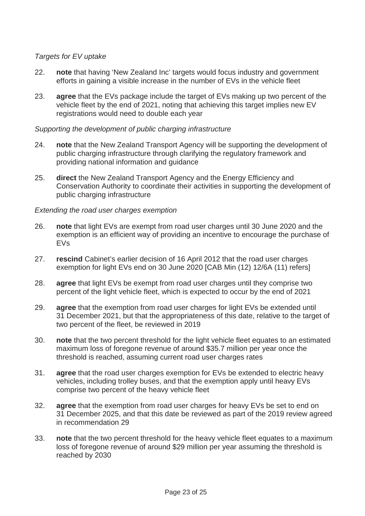# *Targets for EV uptake*

- 22. **note** that having 'New Zealand Inc' targets would focus industry and government efforts in gaining a visible increase in the number of EVs in the vehicle fleet
- 23. **agree** that the EVs package include the target of EVs making up two percent of the vehicle fleet by the end of 2021, noting that achieving this target implies new EV registrations would need to double each year

### *Supporting the development of public charging infrastructure*

- 24. **note** that the New Zealand Transport Agency will be supporting the development of public charging infrastructure through clarifying the regulatory framework and providing national information and guidance
- 25. **direct** the New Zealand Transport Agency and the Energy Efficiency and Conservation Authority to coordinate their activities in supporting the development of public charging infrastructure

### *Extending the road user charges exemption*

- 26. **note** that light EVs are exempt from road user charges until 30 June 2020 and the exemption is an efficient way of providing an incentive to encourage the purchase of EVs
- 27. **rescind** Cabinet's earlier decision of 16 April 2012 that the road user charges exemption for light EVs end on 30 June 2020 [CAB Min (12) 12/6A (11) refers]
- 28. **agree** that light EVs be exempt from road user charges until they comprise two percent of the light vehicle fleet, which is expected to occur by the end of 2021
- 29. **agree** that the exemption from road user charges for light EVs be extended until 31 December 2021, but that the appropriateness of this date, relative to the target of two percent of the fleet, be reviewed in 2019
- 30. **note** that the two percent threshold for the light vehicle fleet equates to an estimated maximum loss of foregone revenue of around \$35.7 million per year once the threshold is reached, assuming current road user charges rates
- 31. **agree** that the road user charges exemption for EVs be extended to electric heavy vehicles, including trolley buses, and that the exemption apply until heavy EVs comprise two percent of the heavy vehicle fleet
- 32. **agree** that the exemption from road user charges for heavy EVs be set to end on 31 December 2025, and that this date be reviewed as part of the 2019 review agreed in recommendation 29
- 33. **note** that the two percent threshold for the heavy vehicle fleet equates to a maximum loss of foregone revenue of around \$29 million per year assuming the threshold is reached by 2030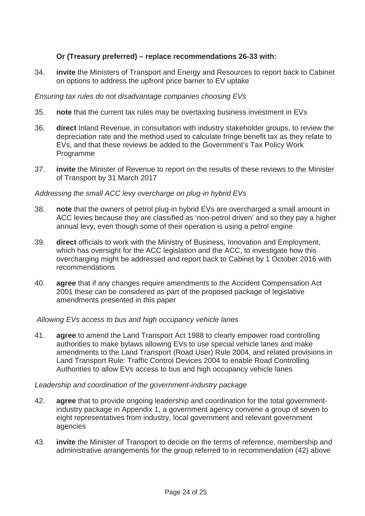# **Or (Treasury preferred) – replace recommendations 26-33 with:**

34. **invite** the Ministers of Transport and Energy and Resources to report back to Cabinet on options to address the upfront price barrier to EV uptake

# *Ensuring tax rules do not disadvantage companies choosing EVs*

- 35. **note** that the current tax rules may be overtaxing business investment in EVs
- 36. **direct** Inland Revenue, in consultation with industry stakeholder groups, to review the depreciation rate and the method used to calculate fringe benefit tax as they relate to EVs, and that these reviews be added to the Government's Tax Policy Work Programme
- 37. **invite** the Minister of Revenue to report on the results of these reviews to the Minister of Transport by 31 March 2017

# *Addressing the small ACC levy overcharge on plug-in hybrid EVs*

- 38. **note** that the owners of petrol plug-in hybrid EVs are overcharged a small amount in ACC levies because they are classified as 'non-petrol driven' and so they pay a higher annual levy, even though some of their operation is using a petrol engine
- 39. **direct** officials to work with the Ministry of Business, Innovation and Employment, which has oversight for the ACC legislation and the ACC, to investigate how this overcharging might be addressed and report back to Cabinet by 1 October 2016 with recommendations
- 40. **agree** that if any changes require amendments to the Accident Compensation Act 2001 these can be considered as part of the proposed package of legislative amendments presented in this paper

# *Allowing EVs access to bus and high occupancy vehicle lanes*

41. **agree** to amend the Land Transport Act 1988 to clearly empower road controlling authorities to make bylaws allowing EVs to use special vehicle lanes and make amendments to the Land Transport (Road User) Rule 2004, and related provisions in Land Transport Rule: Traffic Control Devices 2004 to enable Road Controlling Authorities to allow EVs access to bus and high occupancy vehicle lanes

# *Leadership and coordination of the government-industry package*

- 42. **agree** that to provide ongoing leadership and coordination for the total governmentindustry package in Appendix 1, a government agency convene a group of seven to eight representatives from industry, local government and relevant government agencies
- 43. **invite** the Minister of Transport to decide on the terms of reference, membership and administrative arrangements for the group referred to in recommendation (42) above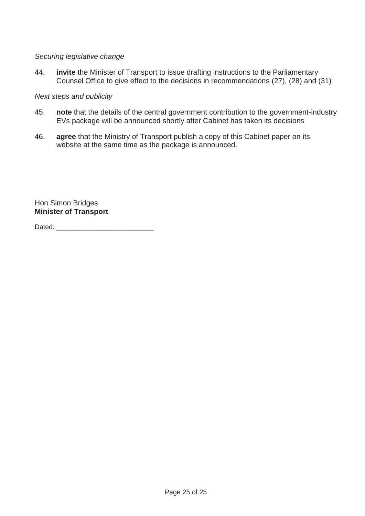# *Securing legislative change*

44. **invite** the Minister of Transport to issue drafting instructions to the Parliamentary Counsel Office to give effect to the decisions in recommendations (27), (28) and (31)

### *Next steps and publicity*

- 45. **note** that the details of the central government contribution to the government-industry EVs package will be announced shortly after Cabinet has taken its decisions
- 46. **agree** that the Ministry of Transport publish a copy of this Cabinet paper on its website at the same time as the package is announced.

Hon Simon Bridges **Minister of Transport** 

Dated: \_\_\_\_\_\_\_\_\_\_\_\_\_\_\_\_\_\_\_\_\_\_\_\_\_\_